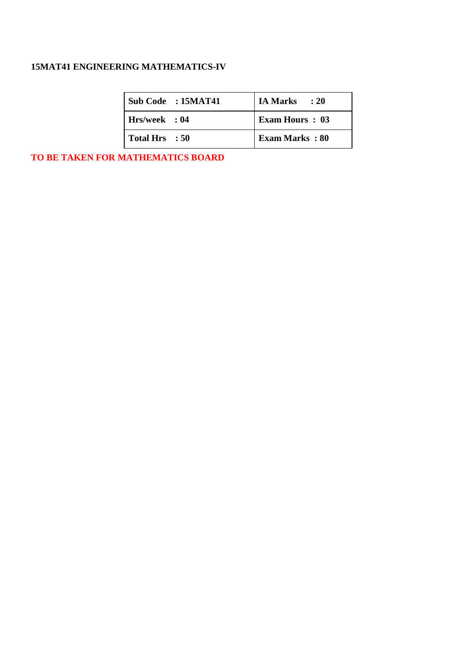# **15MAT41 ENGINEERING MATHEMATICS-IV**

| $\vert$ Sub Code : 15MAT41 | IA Marks : 20         |
|----------------------------|-----------------------|
| Hrs/week: 04               | <b>Exam Hours: 03</b> |
| Total Hrs : 50             | <b>Exam Marks: 80</b> |

**TO BE TAKEN FOR MATHEMATICS BOARD**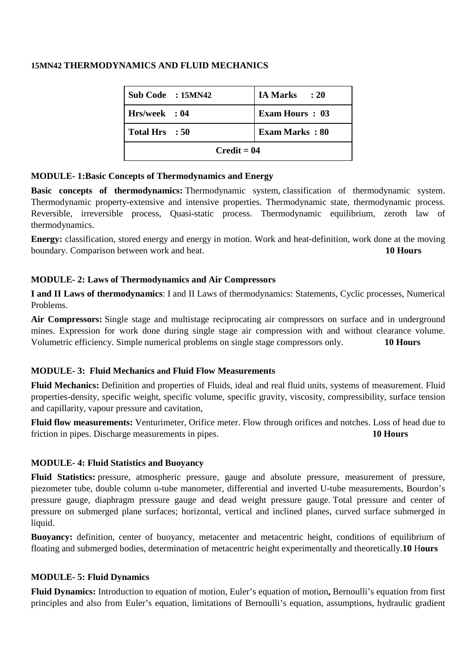## **15MN42 THERMODYNAMICS AND FLUID MECHANICS**

| Sub Code : 15MN42 | <b>IA Marks</b><br>$\cdot$ 20 |  |
|-------------------|-------------------------------|--|
| Hrs/week : 04     | <b>Exam Hours: 03</b>         |  |
| Total Hrs : 50    | <b>Exam Marks: 80</b>         |  |
| $Credit = 04$     |                               |  |

## **MODULE- 1:Basic Concepts of Thermodynamics and Energy**

**Basic concepts of thermodynamics:** Thermodynamic system, classification of thermodynamic system. Thermodynamic property-extensive and intensive properties. Thermodynamic state, thermodynamic process. Reversible, irreversible process, Quasi-static process. Thermodynamic equilibrium, zeroth law of thermodynamics.

**Energy:** classification, stored energy and energy in motion. Work and heat-definition, work done at the moving boundary. Comparison between work and heat. **10 Hours**

## **MODULE- 2: Laws of Thermodynamics and Air Compressors**

**I and II Laws of thermodynamics**: I and II Laws of thermodynamics: Statements, Cyclic processes, Numerical Problems.

**Air Compressors:** Single stage and multistage reciprocating air compressors on surface and in underground mines. Expression for work done during single stage air compression with and without clearance volume. Volumetric efficiency. Simple numerical problems on single stage compressors only. **10 Hours**

## **MODULE- 3: Fluid Mechanics and Fluid Flow Measurements**

**Fluid Mechanics:** Definition and properties of Fluids, ideal and real fluid units, systems of measurement. Fluid properties-density, specific weight, specific volume, specific gravity, viscosity, compressibility, surface tension and capillarity, vapour pressure and cavitation,

**Fluid flow measurements:** Venturimeter, Orifice meter. Flow through orifices and notches. Loss of head due to friction in pipes. Discharge measurements in pipes. **10 Hours**

## **MODULE- 4: Fluid Statistics and Buoyancy**

**Fluid Statistics:** pressure, atmospheric pressure, gauge and absolute pressure, measurement of pressure, piezometer tube, double column u-tube manometer, differential and inverted U-tube measurements, Bourdon's pressure gauge, diaphragm pressure gauge and dead weight pressure gauge. Total pressure and center of pressure on submerged plane surfaces; horizontal, vertical and inclined planes, curved surface submerged in liquid.

**Buoyancy:** definition, center of buoyancy, metacenter and metacentric height, conditions of equilibrium of floating and submerged bodies, determination of metacentric height experimentally and theoretically.**10** H**ours**

## **MODULE- 5: Fluid Dynamics**

**Fluid Dynamics:** Introduction to equation of motion, Euler's equation of motion**,** Bernoulli's equation from first principles and also from Euler's equation, limitations of Bernoulli's equation, assumptions, hydraulic gradient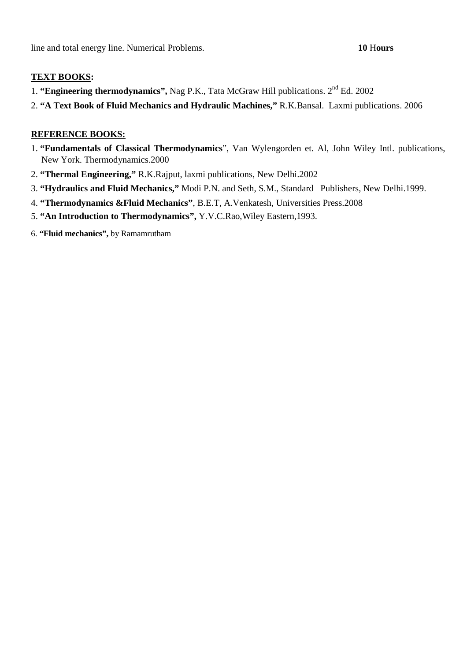- 1. **"Engineering thermodynamics",** Nag P.K., Tata McGraw Hill publications. 2nd Ed. 2002
- 2. **"A Text Book of Fluid Mechanics and Hydraulic Machines,"** R.K.Bansal. Laxmi publications. 2006

- 1. **"Fundamentals of Classical Thermodynamics**", Van Wylengorden et. Al, John Wiley Intl. publications, New York. Thermodynamics.2000
- 2. **"Thermal Engineering,"** R.K.Rajput, laxmi publications, New Delhi.2002
- 3. **"Hydraulics and Fluid Mechanics,"** Modi P.N. and Seth, S.M., Standard Publishers, New Delhi.1999.
- 4. **"Thermodynamics &Fluid Mechanics"**, B.E.T, A.Venkatesh, Universities Press.2008
- 5. **"An Introduction to Thermodynamics",** Y.V.C.Rao,Wiley Eastern,1993.
- 6. **"Fluid mechanics",** by Ramamrutham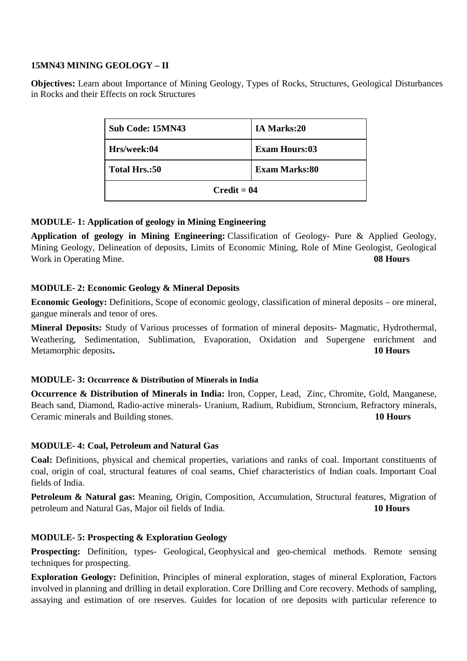## **15MN43 MINING GEOLOGY – II**

**Objectives:** Learn about Importance of Mining Geology, Types of Rocks, Structures, Geological Disturbances in Rocks and their Effects on rock Structures

| Sub Code: 15MN43 | IA Marks:20          |
|------------------|----------------------|
| Hrs/week:04      | <b>Exam Hours:03</b> |
| Total Hrs.:50    | <b>Exam Marks:80</b> |
| $Credit = 04$    |                      |

## **MODULE- 1: Application of geology in Mining Engineering**

**Application of geology in Mining Engineering:** Classification of Geology- Pure & Applied Geology, Mining Geology, Delineation of deposits, Limits of Economic Mining, Role of Mine Geologist, Geological Work in Operating Mine. **08 Hours**

## **MODULE- 2: Economic Geology & Mineral Deposits**

**Economic Geology:** Definitions, Scope of economic geology, classification of mineral deposits – ore mineral, gangue minerals and tenor of ores.

**Mineral Deposits:** Study of Various processes of formation of mineral deposits- Magmatic, Hydrothermal, Weathering, Sedimentation, Sublimation, Evaporation, Oxidation and Supergene enrichment and Metamorphic deposits**. 10 Hours**

## **MODULE- 3: Occurrence & Distribution of Minerals in India**

**Occurrence & Distribution of Minerals in India:** Iron, Copper, Lead, Zinc, Chromite, Gold, Manganese, Beach sand, Diamond, Radio-active minerals- Uranium, Radium, Rubidium, Stroncium, Refractory minerals, Ceramic minerals and Building stones. **10 Hours** 

## **MODULE- 4: Coal, Petroleum and Natural Gas**

**Coal:** Definitions, physical and chemical properties, variations and ranks of coal. Important constituents of coal, origin of coal, structural features of coal seams, Chief characteristics of Indian coals. Important Coal fields of India.

**Petroleum & Natural gas:** Meaning, Origin, Composition, Accumulation, Structural features, Migration of petroleum and Natural Gas, Major oil fields of India. **10 Hours** 

## **MODULE- 5: Prospecting & Exploration Geology**

**Prospecting:** Definition, types- Geological, Geophysical and geo-chemical methods. Remote sensing techniques for prospecting.

**Exploration Geology:** Definition, Principles of mineral exploration, stages of mineral Exploration, Factors involved in planning and drilling in detail exploration. Core Drilling and Core recovery. Methods of sampling, assaying and estimation of ore reserves. Guides for location of ore deposits with particular reference to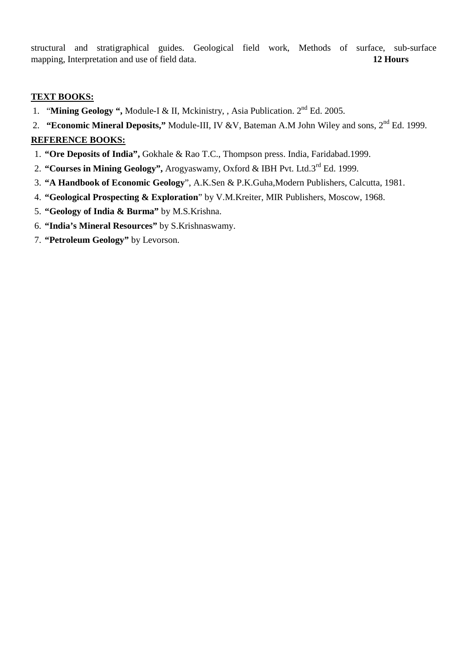structural and stratigraphical guides. Geological field work, Methods of surface, sub-surface mapping, Interpretation and use of field data. **12 Hours**

## **TEXT BOOKS:**

- 1. "**Mining Geology ",** Module-I & II, Mckinistry, , Asia Publication. 2nd Ed. 2005.
- 2. **"Economic Mineral Deposits,"** Module-III, IV &V, Bateman A.M John Wiley and sons, 2nd Ed. 1999.

- 1. **"Ore Deposits of India",** Gokhale & Rao T.C., Thompson press. India, Faridabad.1999.
- 2. **"Courses in Mining Geology",** Arogyaswamy, Oxford & IBH Pvt. Ltd.3rd Ed. 1999.
- 3. **"A Handbook of Economic Geology**", A.K.Sen & P.K.Guha,Modern Publishers, Calcutta, 1981.
- 4. **"Geological Prospecting & Exploration**" by V.M.Kreiter, MIR Publishers, Moscow, 1968.
- 5. **"Geology of India & Burma"** by M.S.Krishna.
- 6. **"India's Mineral Resources"** by S.Krishnaswamy.
- 7. **"Petroleum Geology"** by Levorson.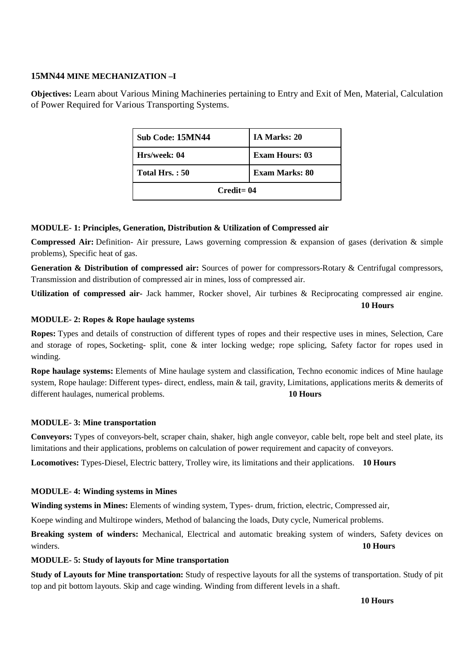## **15MN44 MINE MECHANIZATION –I**

**Objectives:** Learn about Various Mining Machineries pertaining to Entry and Exit of Men, Material, Calculation of Power Required for Various Transporting Systems.

| Sub Code: 15MN44 | <b>IA Marks: 20</b>   |  |
|------------------|-----------------------|--|
| Hrs/week: 04     | <b>Exam Hours: 03</b> |  |
| Total Hrs.: 50   | <b>Exam Marks: 80</b> |  |
| $C$ redit= $04$  |                       |  |

#### **MODULE- 1: Principles, Generation, Distribution & Utilization of Compressed air**

**Compressed Air:** Definition- Air pressure, Laws governing compression & expansion of gases (derivation & simple problems), Specific heat of gas.

Generation & Distribution of compressed air: Sources of power for compressors-Rotary & Centrifugal compressors, Transmission and distribution of compressed air in mines, loss of compressed air.

**Utilization of compressed air-** Jack hammer, Rocker shovel, Air turbines & Reciprocating compressed air engine.

**10 Hours** 

#### **MODULE- 2: Ropes & Rope haulage systems**

**Ropes:** Types and details of construction of different types of ropes and their respective uses in mines, Selection, Care and storage of ropes, Socketing- split, cone & inter locking wedge; rope splicing, Safety factor for ropes used in winding.

**Rope haulage systems:** Elements of Mine haulage system and classification, Techno economic indices of Mine haulage system, Rope haulage: Different types- direct, endless, main & tail, gravity, Limitations, applications merits & demerits of different haulages, numerical problems. **10 Hours** 

#### **MODULE- 3: Mine transportation**

**Conveyors:** Types of conveyors-belt, scraper chain, shaker, high angle conveyor, cable belt, rope belt and steel plate, its limitations and their applications, problems on calculation of power requirement and capacity of conveyors.

**Locomotives:** Types-Diesel, Electric battery, Trolley wire, its limitations and their applications. **10 Hours**

#### **MODULE- 4: Winding systems in Mines**

**Winding systems in Mines:** Elements of winding system, Types- drum, friction, electric, Compressed air,

Koepe winding and Multirope winders, Method of balancing the loads, Duty cycle, Numerical problems.

**Breaking system of winders:** Mechanical, Electrical and automatic breaking system of winders, Safety devices on winders. **10 Hours**

#### **MODULE- 5: Study of layouts for Mine transportation**

**Study of Layouts for Mine transportation:** Study of respective layouts for all the systems of transportation. Study of pit top and pit bottom layouts. Skip and cage winding. Winding from different levels in a shaft.

 **10 Hours**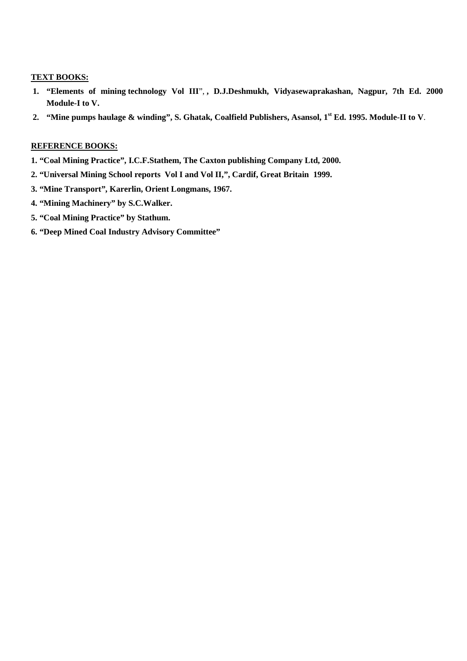- **1. "Elements of mining technology Vol III**", **, D.J.Deshmukh, Vidyasewaprakashan, Nagpur, 7th Ed. 2000 Module-I to V.**
- **2. "Mine pumps haulage & winding", S. Ghatak, Coalfield Publishers, Asansol, 1st Ed. 1995. Module-II to V**.

- **1. "Coal Mining Practice", I.C.F.Stathem, The Caxton publishing Company Ltd, 2000.**
- **2. "Universal Mining School reports Vol I and Vol II,", Cardif, Great Britain 1999.**
- **3. "Mine Transport", Karerlin, Orient Longmans, 1967.**
- **4. "Mining Machinery" by S.C.Walker.**
- **5. "Coal Mining Practice" by Stathum.**
- **6. "Deep Mined Coal Industry Advisory Committee"**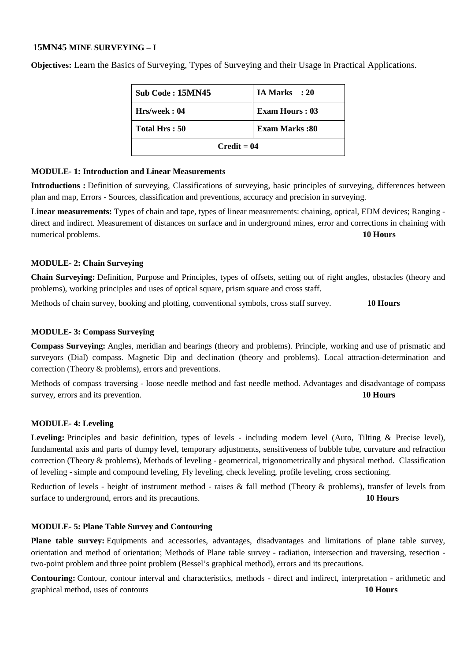#### **15MN45 MINE SURVEYING – I**

| Sub Code: 15MN45 | IA Marks : 20         |
|------------------|-----------------------|
| Hrs/week: 04     | <b>Exam Hours: 03</b> |
| Total Hrs: 50    | <b>Exam Marks:80</b>  |
| $Credit = 04$    |                       |

**Objectives:** Learn the Basics of Surveying, Types of Surveying and their Usage in Practical Applications.

## **MODULE- 1: Introduction and Linear Measurements**

**Introductions :** Definition of surveying, Classifications of surveying, basic principles of surveying, differences between plan and map, Errors - Sources, classification and preventions, accuracy and precision in surveying.

**Linear measurements:** Types of chain and tape, types of linear measurements: chaining, optical, EDM devices; Ranging direct and indirect. Measurement of distances on surface and in underground mines, error and corrections in chaining with numerical problems. **10 Hours 10 Hours 10 Hours** 

#### **MODULE- 2: Chain Surveying**

**Chain Surveying:** Definition, Purpose and Principles, types of offsets, setting out of right angles, obstacles (theory and problems), working principles and uses of optical square, prism square and cross staff.

Methods of chain survey, booking and plotting, conventional symbols, cross staff survey. **10 Hours** 

## **MODULE- 3: Compass Surveying**

**Compass Surveying:** Angles, meridian and bearings (theory and problems). Principle, working and use of prismatic and surveyors (Dial) compass. Magnetic Dip and declination (theory and problems). Local attraction-determination and correction (Theory & problems), errors and preventions.

Methods of compass traversing - loose needle method and fast needle method. Advantages and disadvantage of compass survey, errors and its prevention. **10 Hours**

## **MODULE- 4: Leveling**

Leveling: Principles and basic definition, types of levels - including modern level (Auto, Tilting & Precise level), fundamental axis and parts of dumpy level, temporary adjustments, sensitiveness of bubble tube, curvature and refraction correction (Theory & problems), Methods of leveling - geometrical, trigonometrically and physical method. Classification of leveling - simple and compound leveling, Fly leveling, check leveling, profile leveling, cross sectioning.

Reduction of levels - height of instrument method - raises & fall method (Theory & problems), transfer of levels from surface to underground, errors and its precautions. **10 Hours 10 Hours** 

## **MODULE- 5: Plane Table Survey and Contouring**

**Plane table survey:** Equipments and accessories, advantages, disadvantages and limitations of plane table survey, orientation and method of orientation; Methods of Plane table survey - radiation, intersection and traversing, resection two-point problem and three point problem (Bessel's graphical method), errors and its precautions.

**Contouring:** Contour, contour interval and characteristics, methods - direct and indirect, interpretation - arithmetic and graphical method, uses of contours **10 Hours**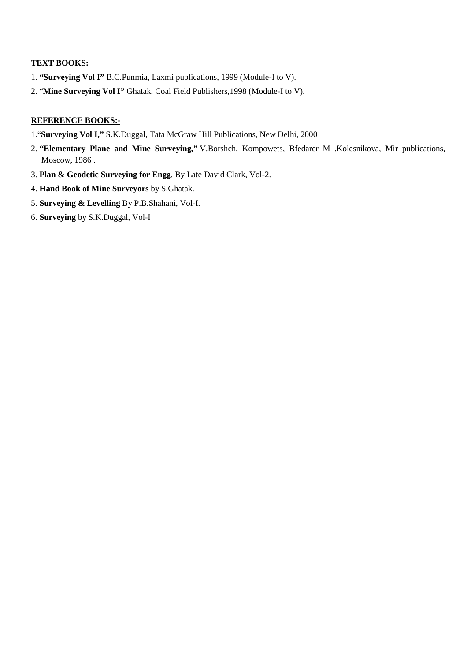- 1. **"Surveying Vol I"** B.C.Punmia, Laxmi publications, 1999 (Module-I to V).
- 2. "**Mine Surveying Vol I"** Ghatak, Coal Field Publishers,1998 (Module-I to V).

- 1."**Surveying Vol I,"** S.K.Duggal, Tata McGraw Hill Publications, New Delhi, 2000
- 2. **"Elementary Plane and Mine Surveying,"** V.Borshch, Kompowets, Bfedarer M .Kolesnikova, Mir publications, Moscow, 1986 .
- 3. **Plan & Geodetic Surveying for Engg**. By Late David Clark, Vol-2.
- 4. **Hand Book of Mine Surveyors** by S.Ghatak.
- 5. **Surveying & Levelling** By P.B.Shahani, Vol-I.
- 6. **Surveying** by S.K.Duggal, Vol-I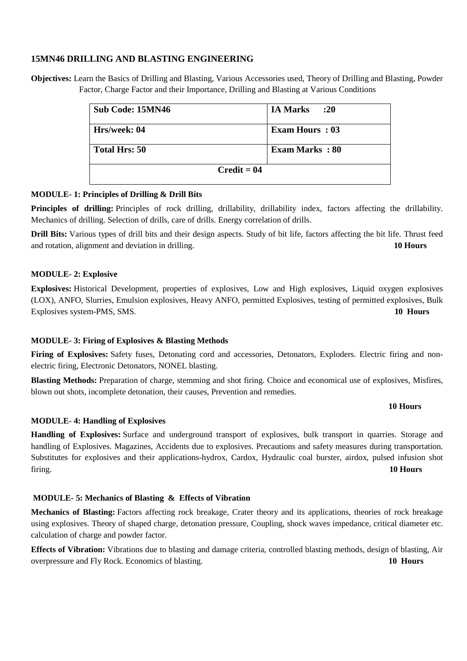## **15MN46 DRILLING AND BLASTING ENGINEERING**

**Objectives:** Learn the Basics of Drilling and Blasting, Various Accessories used, Theory of Drilling and Blasting, Powder Factor, Charge Factor and their Importance, Drilling and Blasting at Various Conditions

| Sub Code: 15MN46 | <b>IA Marks</b><br>:20 |
|------------------|------------------------|
| Hrs/week: 04     | <b>Exam Hours: 03</b>  |
| Total Hrs: 50    | <b>Exam Marks: 80</b>  |
|                  | $Credit = 04$          |

#### **MODULE- 1: Principles of Drilling & Drill Bits**

Principles of drilling: Principles of rock drilling, drillability, drillability index, factors affecting the drillability. Mechanics of drilling. Selection of drills, care of drills. Energy correlation of drills.

**Drill Bits:** Various types of drill bits and their design aspects. Study of bit life, factors affecting the bit life. Thrust feed and rotation, alignment and deviation in drilling. **10 Hours**

#### **MODULE- 2: Explosive**

**Explosives:** Historical Development, properties of explosives, Low and High explosives, Liquid oxygen explosives (LOX), ANFO, Slurries, Emulsion explosives, Heavy ANFO, permitted Explosives, testing of permitted explosives, Bulk Explosives system-PMS, SMS. **10 Hours**

## **MODULE- 3: Firing of Explosives & Blasting Methods**

**Firing of Explosives:** Safety fuses, Detonating cord and accessories, Detonators, Exploders. Electric firing and nonelectric firing, Electronic Detonators, NONEL blasting.

**Blasting Methods:** Preparation of charge, stemming and shot firing. Choice and economical use of explosives, Misfires, blown out shots, incomplete detonation, their causes, Prevention and remedies.

#### **10 Hours**

## **MODULE- 4: Handling of Explosives**

**Handling of Explosives:** Surface and underground transport of explosives, bulk transport in quarries. Storage and handling of Explosives. Magazines, Accidents due to explosives. Precautions and safety measures during transportation. Substitutes for explosives and their applications-hydrox, Cardox, Hydraulic coal burster, airdox, pulsed infusion shot firing. **10 Hours**

#### **MODULE- 5: Mechanics of Blasting & Effects of Vibration**

**Mechanics of Blasting:** Factors affecting rock breakage, Crater theory and its applications, theories of rock breakage using explosives. Theory of shaped charge, detonation pressure, Coupling, shock waves impedance, critical diameter etc. calculation of charge and powder factor.

**Effects of Vibration:** Vibrations due to blasting and damage criteria, controlled blasting methods, design of blasting, Air overpressure and Fly Rock. Economics of blasting. **10 Hours**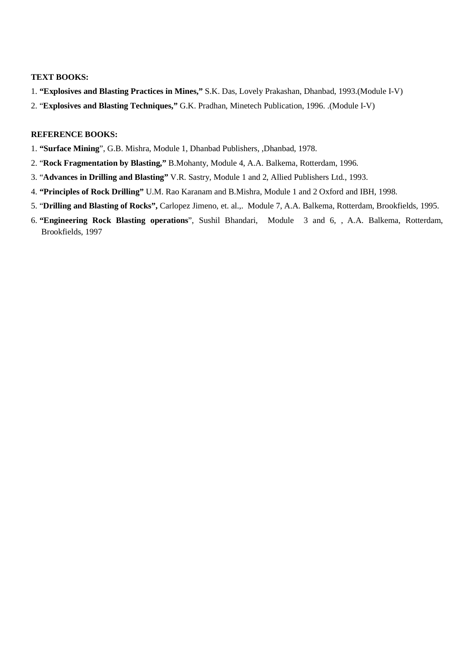- 1. **"Explosives and Blasting Practices in Mines,"** S.K. Das, Lovely Prakashan, Dhanbad, 1993.(Module I-V)
- 2. "**Explosives and Blasting Techniques,"** G.K. Pradhan, Minetech Publication, 1996. .(Module I-V)

- 1. **"Surface Mining**", G.B. Mishra, Module 1, Dhanbad Publishers, ,Dhanbad, 1978.
- 2. "**Rock Fragmentation by Blasting,"** B.Mohanty, Module 4, A.A. Balkema, Rotterdam, 1996.
- 3. "**Advances in Drilling and Blasting"** V.R. Sastry, Module 1 and 2, Allied Publishers Ltd., 1993.
- 4. **"Principles of Rock Drilling"** U.M. Rao Karanam and B.Mishra, Module 1 and 2 Oxford and IBH, 1998.
- 5. "**Drilling and Blasting of Rocks",** Carlopez Jimeno, et. al.,. Module 7, A.A. Balkema, Rotterdam, Brookfields, 1995.
- 6. **"Engineering Rock Blasting operations**", Sushil Bhandari, Module 3 and 6, , A.A. Balkema, Rotterdam, Brookfields, 1997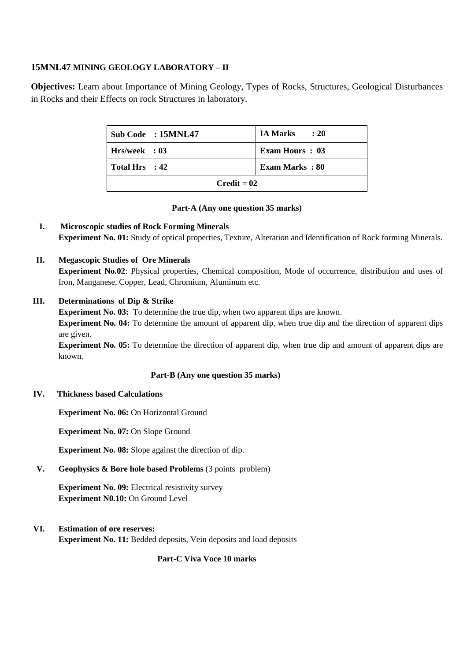## **15MNL47 MINING GEOLOGY LABORATORY – II**

**Objectives:** Learn about Importance of Mining Geology, Types of Rocks, Structures, Geological Disturbances in Rocks and their Effects on rock Structures in laboratory.

|                | Sub Code: 15MNL47 | IA Marks<br>: 20 |
|----------------|-------------------|------------------|
| Hrs/week: 03   |                   | Exam Hours: 03   |
| Total Hrs : 42 |                   | Exam Marks: 80   |
| $Credit = 02$  |                   |                  |

#### **Part-A (Any one question 35 marks)**

**I. Microscopic studies of Rock Forming Minerals Experiment No. 01:** Study of optical properties, Texture, Alteration and Identification of Rock forming Minerals.

## **II. Megascopic Studies of Ore Minerals**

**Experiment No.02**: Physical properties, Chemical composition, Mode of occurrence, distribution and uses of Iron, Manganese, Copper, Lead, Chromium, Aluminum etc.

#### **III. Determinations of Dip & Strike**

**Experiment No. 03:** To determine the true dip, when two apparent dips are known. **Experiment No. 04:** To determine the amount of apparent dip, when true dip and the direction of apparent dips are given.

**Experiment No. 05:** To determine the direction of apparent dip, when true dip and amount of apparent dips are known.

#### **Part-B (Any one question 35 marks)**

#### **IV. Thickness based Calculations**

**Experiment No. 06:** On Horizontal Ground

**Experiment No. 07:** On Slope Ground

**Experiment No. 08:** Slope against the direction of dip.

## **V. Geophysics & Bore hole based Problems** (3 points problem)

**Experiment No. 09:** Electrical resistivity survey **Experiment N0.10:** On Ground Level

## **VI. Estimation of ore reserves:**

**Experiment No. 11:** Bedded deposits, Vein deposits and load deposits

#### **Part-C Viva Voce 10 marks**